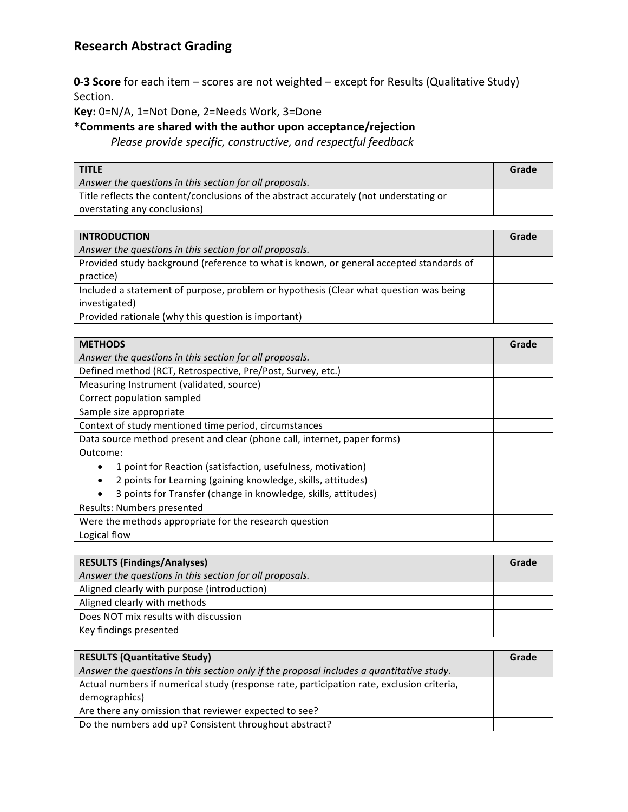## **Research Abstract Grading**

**0-3 Score** for each item – scores are not weighted – except for Results (Qualitative Study) Section.

Key: 0=N/A, 1=Not Done, 2=Needs Work, 3=Done

**\*Comments are shared with the author upon acceptance/rejection**

*Please provide specific, constructive, and respectful feedback* 

| <b>TITLE</b>                                                                           | Grade |
|----------------------------------------------------------------------------------------|-------|
| Answer the questions in this section for all proposals.                                |       |
| Title reflects the content/conclusions of the abstract accurately (not understating or |       |
| overstating any conclusions)                                                           |       |

| <b>INTRODUCTION</b>                                                                     | Grade |
|-----------------------------------------------------------------------------------------|-------|
| Answer the questions in this section for all proposals.                                 |       |
| Provided study background (reference to what is known, or general accepted standards of |       |
| practice)                                                                               |       |
| Included a statement of purpose, problem or hypothesis (Clear what question was being   |       |
| investigated)                                                                           |       |
| Provided rationale (why this question is important)                                     |       |

| <b>METHODS</b>                                                           | Grade |
|--------------------------------------------------------------------------|-------|
| Answer the questions in this section for all proposals.                  |       |
| Defined method (RCT, Retrospective, Pre/Post, Survey, etc.)              |       |
| Measuring Instrument (validated, source)                                 |       |
| Correct population sampled                                               |       |
| Sample size appropriate                                                  |       |
| Context of study mentioned time period, circumstances                    |       |
| Data source method present and clear (phone call, internet, paper forms) |       |
| Outcome:                                                                 |       |
| 1 point for Reaction (satisfaction, usefulness, motivation)              |       |
| 2 points for Learning (gaining knowledge, skills, attitudes)             |       |
| 3 points for Transfer (change in knowledge, skills, attitudes)           |       |
| Results: Numbers presented                                               |       |
| Were the methods appropriate for the research question                   |       |
| Logical flow                                                             |       |

| <b>RESULTS (Findings/Analyses)</b>                      | Grade |
|---------------------------------------------------------|-------|
| Answer the questions in this section for all proposals. |       |
| Aligned clearly with purpose (introduction)             |       |
| Aligned clearly with methods                            |       |
| Does NOT mix results with discussion                    |       |
| Key findings presented                                  |       |

| <b>RESULTS (Quantitative Study)</b>                                                       | Grade |
|-------------------------------------------------------------------------------------------|-------|
| Answer the questions in this section only if the proposal includes a quantitative study.  |       |
| Actual numbers if numerical study (response rate, participation rate, exclusion criteria, |       |
| demographics)                                                                             |       |
| Are there any omission that reviewer expected to see?                                     |       |
| Do the numbers add up? Consistent throughout abstract?                                    |       |